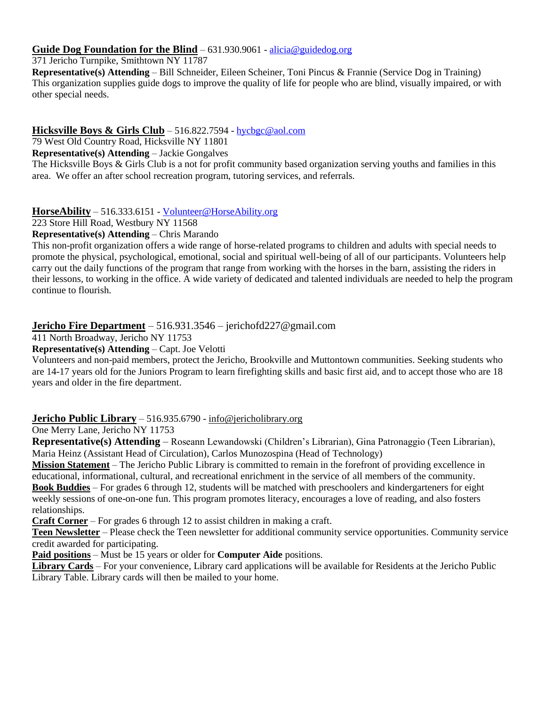### **Guide Dog Foundation for the Blind** – 631.930.9061 - [alicia@guidedog.org](mailto:alicia@guidedog.org)

371 Jericho Turnpike, Smithtown NY 11787

**Representative(s) Attending** – Bill Schneider, Eileen Scheiner, Toni Pincus & Frannie (Service Dog in Training) This organization supplies guide dogs to improve the quality of life for people who are blind, visually impaired, or with other special needs.

## **Hicksville Boys & Girls Club** – 516.822.7594 - [hycbgc@aol.com](mailto:hycbgc@aol.com)

79 West Old Country Road, Hicksville NY 11801

**Representative(s) Attending** – Jackie Gongalves

The Hicksville Boys & Girls Club is a not for profit community based organization serving youths and families in this area. We offer an after school recreation program, tutoring services, and referrals.

### **HorseAbility** – 516.333.6151 - [Volunteer@HorseAbility.org](mailto:Volunteer@HorseAbility.org)

223 Store Hill Road, Westbury NY 11568

### **Representative(s) Attending** – Chris Marando

This non-profit organization offers a wide range of horse-related programs to children and adults with special needs to promote the physical, psychological, emotional, social and spiritual well-being of all of our participants. Volunteers help carry out the daily functions of the program that range from working with the horses in the barn, assisting the riders in their lessons, to working in the office. A wide variety of dedicated and talented individuals are needed to help the program continue to flourish.

# **Jericho Fire Department** – 516.931.3546 – jerichofd227@gmail.com

411 North Broadway, Jericho NY 11753

**Representative(s) Attending** – Capt. Joe Velotti

Volunteers and non-paid members, protect the Jericho, Brookville and Muttontown communities. Seeking students who are 14-17 years old for the Juniors Program to learn firefighting skills and basic first aid, and to accept those who are 18 years and older in the fire department.

### **Jericho Public Library** – 516.935.6790 - [info@jericholibrary.org](mailto:info@jericholibrary.org)

One Merry Lane, Jericho NY 11753

**Representative(s) Attending** – Roseann Lewandowski (Children's Librarian), Gina Patronaggio (Teen Librarian), Maria Heinz (Assistant Head of Circulation), Carlos Munozospina (Head of Technology)

**Mission Statement** – The Jericho Public Library is committed to remain in the forefront of providing excellence in educational, informational, cultural, and recreational enrichment in the service of all members of the community. **Book Buddies** – For grades 6 through 12, students will be matched with preschoolers and kindergarteners for eight weekly sessions of one-on-one fun. This program promotes literacy, encourages a love of reading, and also fosters relationships.

**Craft Corner** – For grades 6 through 12 to assist children in making a craft.

**Teen Newsletter** – Please check the Teen newsletter for additional community service opportunities. Community service credit awarded for participating.

**Paid positions** – Must be 15 years or older for **Computer Aide** positions.

**Library Cards** – For your convenience, Library card applications will be available for Residents at the Jericho Public Library Table. Library cards will then be mailed to your home.